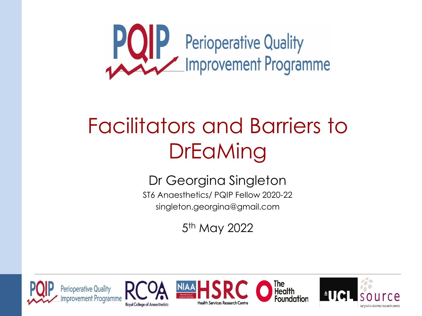

### Facilitators and Barriers to **DrEaMing**

Dr Georgina Singleton

ST6 Anaesthetics/ PQIP Fellow 2020-22 singleton.georgina@gmail.com

5<sup>th</sup> May 2022

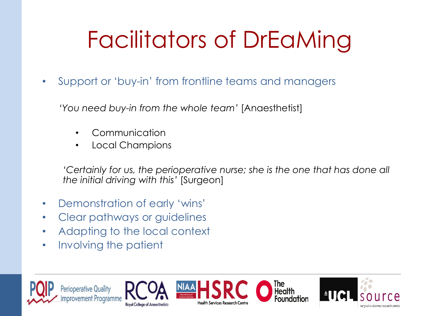# Facilitators of DrEaMing

• Support or 'buy-in' from frontline teams and managers

*'You need buy-in from the whole team'* [Anaesthetist]

- Communication
- Local Champions

*'Certainly for us, the perioperative nurse; she is the one that has done all the initial driving with this'* [Surgeon]

- Demonstration of early 'wins'
- Clear pathways or guidelines
- Adapting to the local context
- Involving the patient

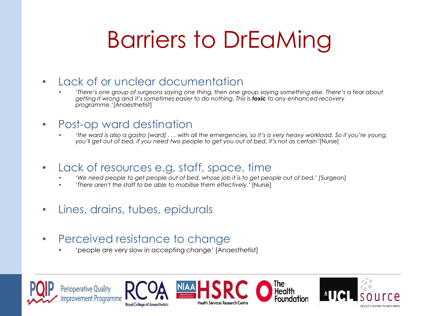## Barriers to DrEaMing

#### • Lack of or unclear documentation

• *'There's one group of surgeons saying one thing, then one group saying something else. There's a fear about getting it wrong and it's sometimes easier to do nothing. This is toxic to any enhanced recovery programme.'*[Anaesthetist]

#### • Post-op ward destination

- *'the ward is also a gastro [ward] . . . with all the emergencies, so it's a very heavy workload. So if you're young, you'll get out of bed, if you need two people to get you out of bed, it's not as certain'*[Nurse]
- Lack of resources e.g. staff, space, time
	- *'We need people to get people out of bed, whose job it is to get people out of bed.' [*Surgeon]
	- *'There aren't the staff to be able to mobilise them effectively.'* [Nurse]
- Lines, drains, tubes, epidurals
- Perceived resistance to change
	- 'people are very slow in accepting change' [Anaesthetist]

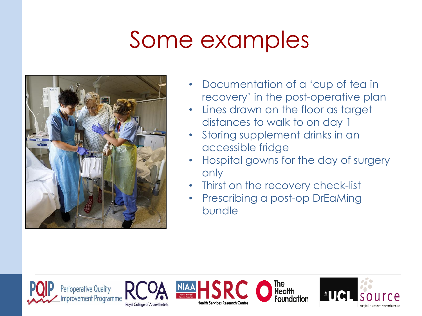### Some examples



- Documentation of a 'cup of tea in recovery' in the post-operative plan
- Lines drawn on the floor as target distances to walk to on day 1
- Storing supplement drinks in an accessible fridge
- Hospital gowns for the day of surgery only
- Thirst on the recovery check-list
- Prescribing a post-op DrEaMing bundle

The<br>Health

**Foundation**